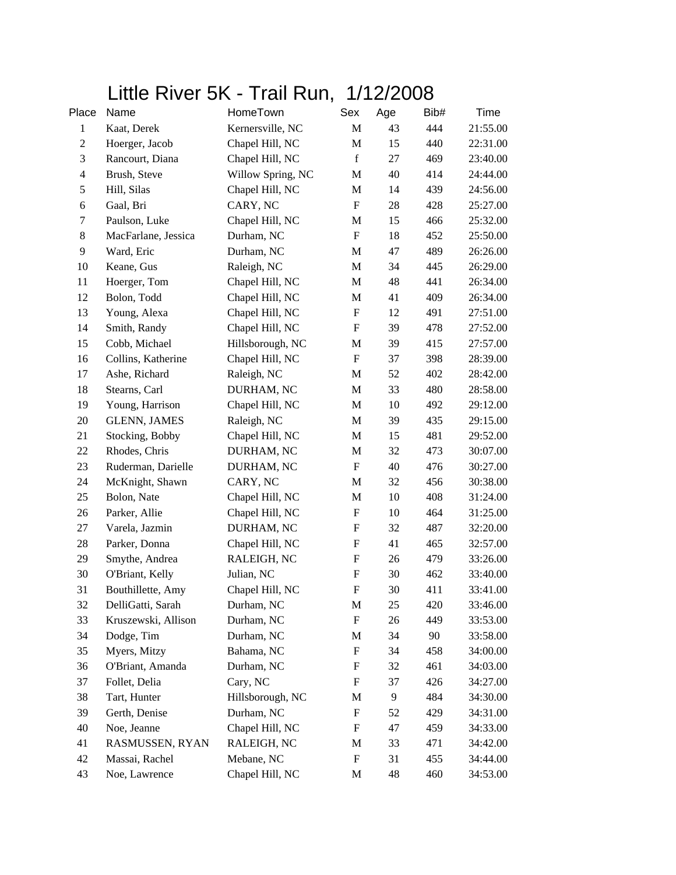## Little River 5K - Trail Run, 1/12/2008

| Place          | Name                | HomeTown          | Sex                       | Age | Bib# | Time     |
|----------------|---------------------|-------------------|---------------------------|-----|------|----------|
| $\mathbf{1}$   | Kaat, Derek         | Kernersville, NC  | M                         | 43  | 444  | 21:55.00 |
| $\mathfrak{2}$ | Hoerger, Jacob      | Chapel Hill, NC   | M                         | 15  | 440  | 22:31.00 |
| $\mathfrak{Z}$ | Rancourt, Diana     | Chapel Hill, NC   | $\mathbf f$               | 27  | 469  | 23:40.00 |
| $\overline{4}$ | Brush, Steve        | Willow Spring, NC | M                         | 40  | 414  | 24:44.00 |
| $\sqrt{5}$     | Hill, Silas         | Chapel Hill, NC   | M                         | 14  | 439  | 24:56.00 |
| 6              | Gaal, Bri           | CARY, NC          | $\mathbf F$               | 28  | 428  | 25:27.00 |
| $\tau$         | Paulson, Luke       | Chapel Hill, NC   | M                         | 15  | 466  | 25:32.00 |
| $8\,$          | MacFarlane, Jessica | Durham, NC        | $\boldsymbol{\mathrm{F}}$ | 18  | 452  | 25:50.00 |
| 9              | Ward, Eric          | Durham, NC        | M                         | 47  | 489  | 26:26.00 |
| 10             | Keane, Gus          | Raleigh, NC       | M                         | 34  | 445  | 26:29.00 |
| 11             | Hoerger, Tom        | Chapel Hill, NC   | M                         | 48  | 441  | 26:34.00 |
| 12             | Bolon, Todd         | Chapel Hill, NC   | M                         | 41  | 409  | 26:34.00 |
| 13             | Young, Alexa        | Chapel Hill, NC   | $\boldsymbol{\mathrm{F}}$ | 12  | 491  | 27:51.00 |
| 14             | Smith, Randy        | Chapel Hill, NC   | $\boldsymbol{\mathrm{F}}$ | 39  | 478  | 27:52.00 |
| 15             | Cobb, Michael       | Hillsborough, NC  | M                         | 39  | 415  | 27:57.00 |
| 16             | Collins, Katherine  | Chapel Hill, NC   | F                         | 37  | 398  | 28:39.00 |
| 17             | Ashe, Richard       | Raleigh, NC       | $\mathbf M$               | 52  | 402  | 28:42.00 |
| 18             | Stearns, Carl       | DURHAM, NC        | M                         | 33  | 480  | 28:58.00 |
| 19             | Young, Harrison     | Chapel Hill, NC   | M                         | 10  | 492  | 29:12.00 |
| 20             | <b>GLENN, JAMES</b> | Raleigh, NC       | M                         | 39  | 435  | 29:15.00 |
| 21             | Stocking, Bobby     | Chapel Hill, NC   | M                         | 15  | 481  | 29:52.00 |
| 22             | Rhodes, Chris       | DURHAM, NC        | M                         | 32  | 473  | 30:07.00 |
| 23             | Ruderman, Darielle  | DURHAM, NC        | $\boldsymbol{\mathrm{F}}$ | 40  | 476  | 30:27.00 |
| 24             | McKnight, Shawn     | CARY, NC          | M                         | 32  | 456  | 30:38.00 |
| 25             | Bolon, Nate         | Chapel Hill, NC   | M                         | 10  | 408  | 31:24.00 |
| 26             | Parker, Allie       | Chapel Hill, NC   | $\boldsymbol{\mathrm{F}}$ | 10  | 464  | 31:25.00 |
| 27             | Varela, Jazmin      | DURHAM, NC        | F                         | 32  | 487  | 32:20.00 |
| $28\,$         | Parker, Donna       | Chapel Hill, NC   | $\boldsymbol{\mathrm{F}}$ | 41  | 465  | 32:57.00 |
| 29             | Smythe, Andrea      | RALEIGH, NC       | $\boldsymbol{\mathrm{F}}$ | 26  | 479  | 33:26.00 |
| 30             | O'Briant, Kelly     | Julian, NC        | F                         | 30  | 462  | 33:40.00 |
| 31             | Bouthillette, Amy   | Chapel Hill, NC   | F                         | 30  | 411  | 33:41.00 |
| 32             | DelliGatti, Sarah   | Durham, NC        | M                         | 25  | 420  | 33:46.00 |
| 33             | Kruszewski, Allison | Durham, NC        | F                         | 26  | 449  | 33:53.00 |
| 34             | Dodge, Tim          | Durham, NC        | М                         | 34  | 90   | 33:58.00 |
| 35             | Myers, Mitzy        | Bahama, NC        | F                         | 34  | 458  | 34:00.00 |
| 36             | O'Briant, Amanda    | Durham, NC        | F                         | 32  | 461  | 34:03.00 |
| 37             | Follet, Delia       | Cary, NC          | F                         | 37  | 426  | 34:27.00 |
| 38             | Tart, Hunter        | Hillsborough, NC  | M                         | 9   | 484  | 34:30.00 |
| 39             | Gerth, Denise       | Durham, NC        | F                         | 52  | 429  | 34:31.00 |
| 40             | Noe, Jeanne         | Chapel Hill, NC   | F                         | 47  | 459  | 34:33.00 |
| 41             | RASMUSSEN, RYAN     | RALEIGH, NC       | M                         | 33  | 471  | 34:42.00 |
| 42             | Massai, Rachel      | Mebane, NC        | F                         | 31  | 455  | 34:44.00 |
| 43             | Noe, Lawrence       | Chapel Hill, NC   | M                         | 48  | 460  | 34:53.00 |